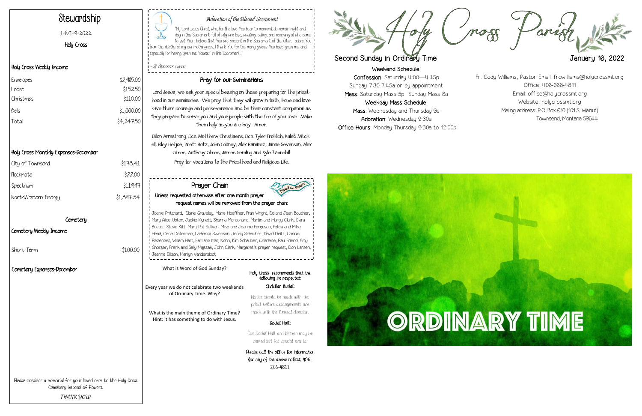Weekend Schedule: Confession: Saturday 4:00—4:45p Sunday 7:30-7:45a or by appointment Mass: Saturday Mass 5p Sunday Mass 8a Weekday Mass Schedule: Mass: Wednesday and Thursday 9a Adoration: Wednesday 9:30a Office Hours: Monday-Thursday 9:30a to 12:00p



Mog

"My Lord Jesus Christ, who, for the love You bear to mankind, do remain night and day in this Sacrament, full of pity and love, awaiting, calling, and receiving all who come to visit You; I believe that You are present in the Sacrament of the Altar; I adore You  $\mathbf I$  from the depths of my own nothingness; I thank You for the many graces. You have given me, and especially for having given me Yourself in this Sacrament..."

## Adoration of the Blessed Sacrament

- St. Alphonsus Ligouri

# Stewardship

1-8/1-9-2022

Holy Cross

#### Holy Cross Weekly Income

## Holy Cross Monthly Expenses-December

| City of Townsend    | \$173.41   |
|---------------------|------------|
| Flocknote           | \$22.00    |
| Spectrum            | \$119.97   |
| NorthWestern Energy | \$1,397.34 |
|                     |            |

#### Cemetery

#### Cemetery Weekly Income

Short Term  $$100.00$ 

#### Pray for our Seminarians

Lord Jesus, we ask your special blessing on those preparing for the priesthood in our seminaries. We pray that they will grow in faith, hope and love. Give them courage and perseverance and be their constant companion as they prepare to serve you and your people with the fire of your love. Make them holy as you are holy. Amen.

Dillon Armstrong, Dcn. Matthew Christiaens, Dcn. Tyler Frohlich, Kaleb Mitchell, Riley Helgoe, Brett Rotz, John Cooney, Alex Ramirez, Jamie Severson, Alex Olmes, Anthony Olmes, James Semling and Kyle Tannehill. Pray for vocations to the Priesthood and Religious Life.

| Envelopes | \$2,985.00 |
|-----------|------------|
| Loose     | \$152.50   |
| Christmas | \$110.00   |
| bells     | \$1,000.00 |
| Total     | \$4,247.50 |

Please consider a memorial for your loved ones to the Holy Cross Cemetery instead of flowers. **THANK YOU!**

| Prayer Chain<br>Unless requested otherwise after one month prayer<br>request names will be removed from the prayer chain:                                                                                                                                                                                                                                                                                                                                                                                                                                            | Jeed for Praye                                                                            |
|----------------------------------------------------------------------------------------------------------------------------------------------------------------------------------------------------------------------------------------------------------------------------------------------------------------------------------------------------------------------------------------------------------------------------------------------------------------------------------------------------------------------------------------------------------------------|-------------------------------------------------------------------------------------------|
| Joanie Pritchard, Elaine Graveley, Marie Hoeffner, Fran Wright, Ed and Jean Boucher,<br>Mary Alice Upton, Jackie Kynett, Shanna Montonario, Martin and Margy Clark, Clara<br>Boster, Steve Kitt, Mary Pat Sullivan, Mike and Jeannie Ferguson, Felicia and Mike<br>Head, Gene Determan, LaReissa Swenson, Jenny Schauber, David Deitz, Connie<br>Rezendes, William Hart, Earl and Marj Kohn, Kim Schauber, Charlene, Paul Friend, Amy<br>Ghorsen, Frank and Sally Majszak, John Clark, Margaret's prayer request, Don Larsen,<br>Jeanne Ellison, Marilyn Vandersloot |                                                                                           |
| What is Word of God Sunday?                                                                                                                                                                                                                                                                                                                                                                                                                                                                                                                                          | Holy Cross recommends that the<br>following be respected:                                 |
| Every year we do not celebrate two weekends<br>of Ordinary Time. Why?                                                                                                                                                                                                                                                                                                                                                                                                                                                                                                | Christian Burial:<br>Notice should be made with the                                       |
| What is the main theme of Ordinary Time?<br>Hint: it has something to do with Jesus.                                                                                                                                                                                                                                                                                                                                                                                                                                                                                 | priest before arrangements are<br>made with the funeral director.                         |
|                                                                                                                                                                                                                                                                                                                                                                                                                                                                                                                                                                      | Social Hall:                                                                              |
|                                                                                                                                                                                                                                                                                                                                                                                                                                                                                                                                                                      | Our Social Hall and kitchen may be<br>rented out for special events.                      |
|                                                                                                                                                                                                                                                                                                                                                                                                                                                                                                                                                                      | Please call the office for information<br>for any of the above notices, 406-<br>266-4811. |



# Second Sunday in Ordinary Time January 16, 2022

Fr. Cody Williams, Pastor Email: frcwilliams@holycrossmt.org Office: 406-266-4811 Email: office@holycrossmt.org Website: holycrossmt.org Mailing address: P.O. Box 610 (101 S. Walnut) Townsend, Montana 59644

## Cemetery Expenses-December